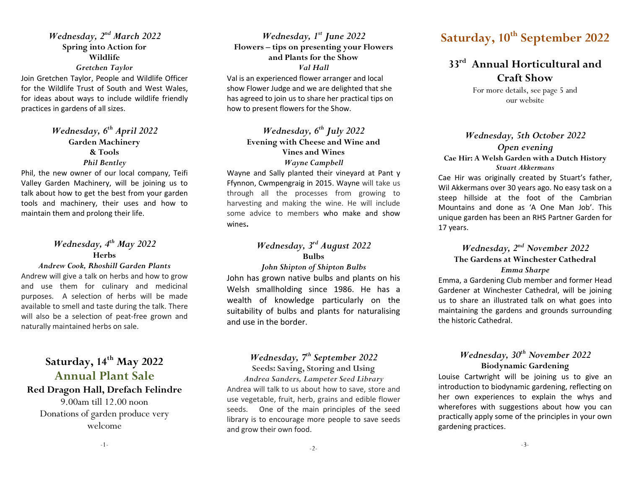Wednesday, 2<sup>nd</sup> March 2022 Spring into Action for Wildlife Gretchen Taylor

Join Gretchen Taylor, People and Wildlife Officer for the Wildlife Trust of South and West Wales, for ideas about ways to include wildlife friendly practices in gardens of all sizes.

### Wednesday,  $6^{th}$  April 2022 Garden Machinery & Tools Phil Bentley

Phil, the new owner of our local company, Teifi Valley Garden Machinery, will be joining us to talk about how to get the best from your garden tools and machinery, their uses and how to maintain them and prolong their life.

### Wednesday, 4<sup>th</sup> May 2022 Herbs

#### Andrew Cook, Rhoshill Garden Plants

Andrew will give a talk on herbs and how to grow and use them for culinary and medicinal purposes. A selection of herbs will be made available to smell and taste during the talk. There will also be a selection of peat-free grown and naturally maintained herbs on sale.

### Saturday,  $14<sup>th</sup>$  May 2022 Annual Plant Sale

#### Red Dragon Hall, Drefach Felindre

9.00am till 12.00 noon Donations of garden produce very welcome

Wednesday,  $1^{st}$  June 2022 Flowers – tips on presenting your Flowers and Plants for the Show Val Hall Val is an experienced flower arranger and local show Flower Judge and we are delighted that she has agreed to join us to share her practical tips on how to present flowers for the Show.

#### Wednesday,  $6^{th}$  July 2022 Evening with Cheese and Wine and Vines and Wines Wayne Campbell

Wayne and Sally planted their vineyard at Pant y Ffynnon, Cwmpengraig in 2015. Wayne will take us through all the processes from growing to harvesting and making the wine. He will include some advice to members who make and show wines.

### Wednesday, 3<sup>rd</sup> August 2022 Bulbs

John Shipton of Shipton Bulbs John has grown native bulbs and plants on his Welsh smallholding since 1986. He has a wealth of knowledge particularly on the suitability of bulbs and plants for naturalising and use in the border.

### Wednesday, 7<sup>th</sup> September 2022

Seeds: Saving, Storing and Using Andrea Sanders, Lampeter Seed Library Andrea will talk to us about how to save, store and use vegetable, fruit, herb, grains and edible flower seeds. One of the main principles of the seed library is to encourage more people to save seeds and grow their own food.

## Saturday, 10<sup>th</sup> September 2022

### 33<sup>rd</sup> Annual Horticultural and Craft Show

For more details, see page 5 and our website

Wednesday, 5th October 2022 Open evening Cae Hir: A Welsh Garden with a Dutch History Stuart Akkermans

Cae Hir was originally created by Stuart's father, Wil Akkermans over 30 years ago. No easy task on a steep hillside at the foot of the Cambrian Mountains and done as 'A One Man Job'. This unique garden has been an RHS Partner Garden for 17 years.

#### Wednesday, 2<sup>nd</sup> November 2022 The Gardens at Winchester Cathedral Emma Sharpe

Emma, a Gardening Club member and former Head Gardener at Winchester Cathedral, will be joining us to share an illustrated talk on what goes into maintaining the gardens and grounds surrounding the historic Cathedral.

### Wednesday, 30<sup>th</sup> November 2022 Biodynamic Gardening

Louise Cartwright will be joining us to give an introduction to biodynamic gardening, reflecting on her own experiences to explain the whys and wherefores with suggestions about how you can practically apply some of the principles in your own gardening practices.